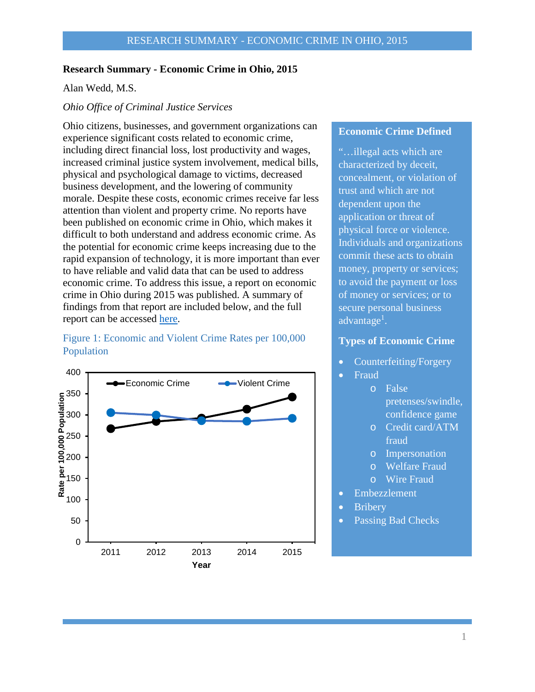#### **Research Summary - Economic Crime in Ohio, 2015**

Alan Wedd, M.S.

#### *Ohio Office of Criminal Justice Services*

Ohio citizens, businesses, and government organizations can experience significant costs related to economic crime, including direct financial loss, lost productivity and wages, increased criminal justice system involvement, medical bills, physical and psychological damage to victims, decreased business development, and the lowering of community morale. Despite these costs, economic crimes receive far less attention than violent and property crime. No reports have been published on economic crime in Ohio, which makes it difficult to both understand and address economic crime. As the potential for economic crime keeps increasing due to the rapid expansion of technology, it is more important than ever to have reliable and valid data that can be used to address economic crime. To address this issue, a report on economic crime in Ohio during 2015 was published. A summary of findings from that report are included below, and the full report can be accessed [here.](http://www.publicsafety.ohio.gov/links/ocjs_EconomicCrimeOhio2015.pdf)

## Figure 1: Economic and Violent Crime Rates per 100,000 Population



## **Economic Crime Defined**

"…illegal acts which are characterized by deceit, concealment, or violation of trust and which are not dependent upon the application or threat of physical force or violence. Individuals and organizations commit these acts to obtain money, property or services; to avoid the payment or loss of money or services; or to secure personal business advantage<sup>1</sup>.

### **Types of Economic Crime**

- Counterfeiting/Forgery
- Fraud
	- o False

pretenses/swindle, confidence game

- o Credit card/ATM fraud
- o Impersonation
- o Welfare Fraud
- o Wire Fraud
- Embezzlement
- **Bribery**
- Passing Bad Checks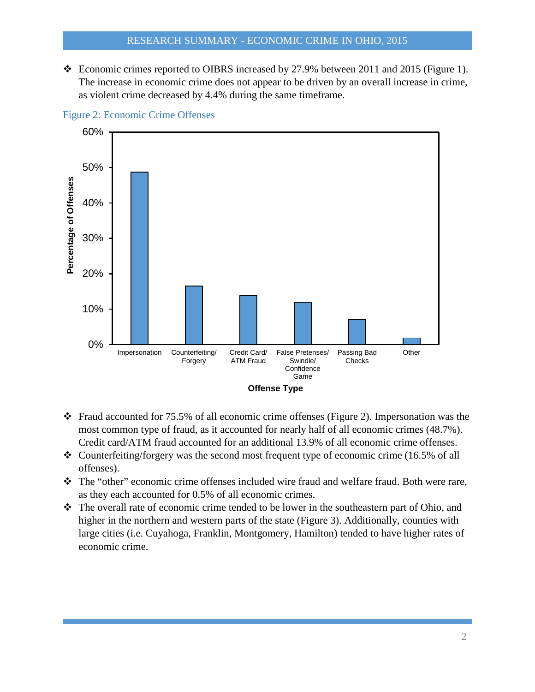Economic crimes reported to OIBRS increased by 27.9% between 2011 and 2015 (Figure 1). The increase in economic crime does not appear to be driven by an overall increase in crime, as violent crime decreased by 4.4% during the same timeframe.



Figure 2: Economic Crime Offenses

- Fraud accounted for 75.5% of all economic crime offenses (Figure 2). Impersonation was the most common type of fraud, as it accounted for nearly half of all economic crimes (48.7%). Credit card/ATM fraud accounted for an additional 13.9% of all economic crime offenses.
- $\triangle$  Counterfeiting/forgery was the second most frequent type of economic crime (16.5% of all offenses).
- The "other" economic crime offenses included wire fraud and welfare fraud. Both were rare, as they each accounted for 0.5% of all economic crimes.
- The overall rate of economic crime tended to be lower in the southeastern part of Ohio, and higher in the northern and western parts of the state (Figure 3). Additionally, counties with large cities (i.e. Cuyahoga, Franklin, Montgomery, Hamilton) tended to have higher rates of economic crime.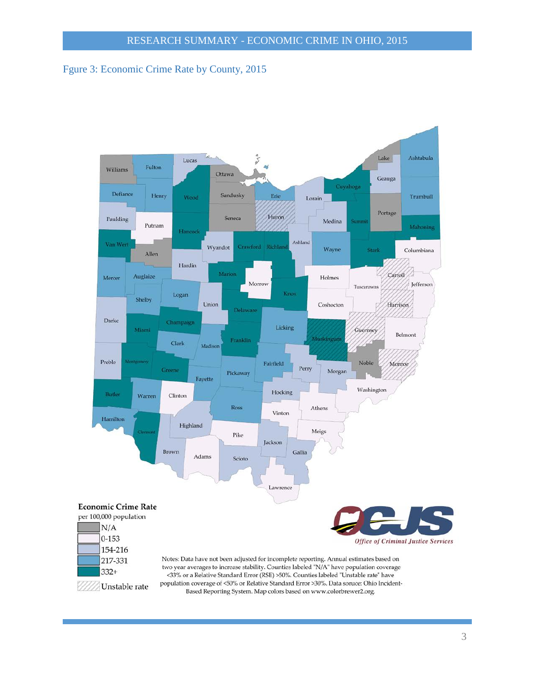# Fgure 3: Economic Crime Rate by County, 2015



Based Reporting System. Map colors based on www.colorbrewer2.org.